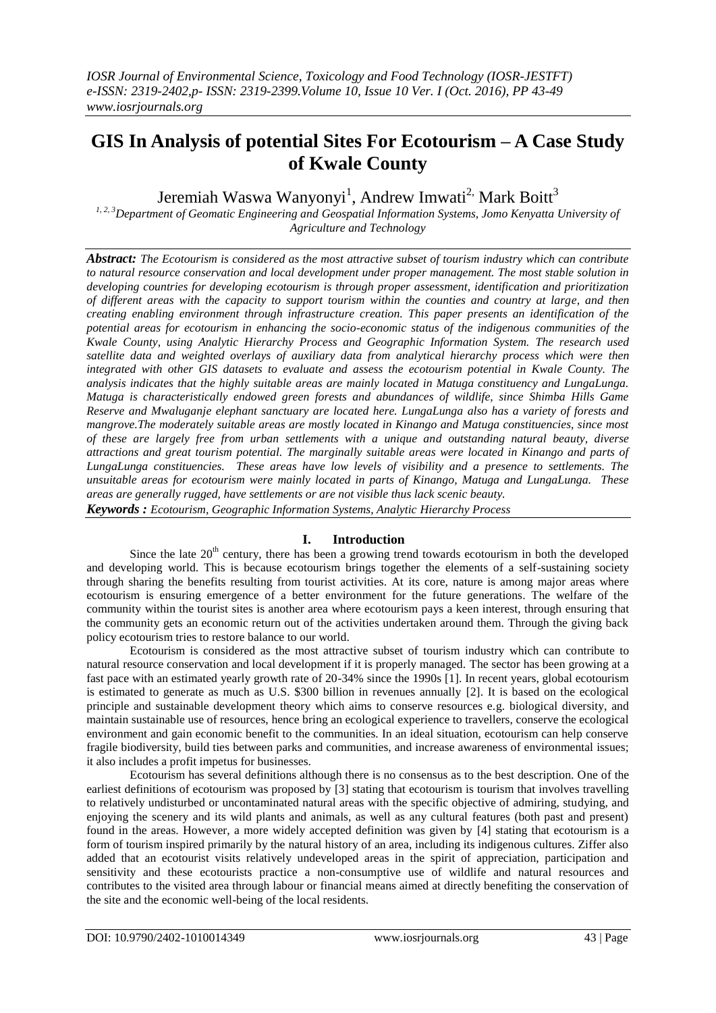# **GIS In Analysis of potential Sites For Ecotourism – A Case Study of Kwale County**

Jeremiah Waswa Wanyonyi<sup>1</sup>, Andrew Imwati<sup>2,</sup> Mark Boitt<sup>3</sup>

*1, 2, 3Department of Geomatic Engineering and Geospatial Information Systems, Jomo Kenyatta University of Agriculture and Technology*

*Abstract: The Ecotourism is considered as the most attractive subset of tourism industry which can contribute to natural resource conservation and local development under proper management. The most stable solution in developing countries for developing ecotourism is through proper assessment, identification and prioritization of different areas with the capacity to support tourism within the counties and country at large, and then creating enabling environment through infrastructure creation. This paper presents an identification of the potential areas for ecotourism in enhancing the socio-economic status of the indigenous communities of the Kwale County, using Analytic Hierarchy Process and Geographic Information System. The research used satellite data and weighted overlays of auxiliary data from analytical hierarchy process which were then integrated with other GIS datasets to evaluate and assess the ecotourism potential in Kwale County. The analysis indicates that the highly suitable areas are mainly located in Matuga constituency and LungaLunga. Matuga is characteristically endowed green forests and abundances of wildlife, since Shimba Hills Game Reserve and Mwaluganje elephant sanctuary are located here. LungaLunga also has a variety of forests and mangrove.The moderately suitable areas are mostly located in Kinango and Matuga constituencies, since most of these are largely free from urban settlements with a unique and outstanding natural beauty, diverse attractions and great tourism potential. The marginally suitable areas were located in Kinango and parts of LungaLunga constituencies. These areas have low levels of visibility and a presence to settlements. The unsuitable areas for ecotourism were mainly located in parts of Kinango, Matuga and LungaLunga. These areas are generally rugged, have settlements or are not visible thus lack scenic beauty. Keywords : Ecotourism, Geographic Information Systems, Analytic Hierarchy Process*

### **I. Introduction**

Since the late  $20<sup>th</sup>$  century, there has been a growing trend towards ecotourism in both the developed and developing world. This is because ecotourism brings together the elements of a self-sustaining society through sharing the benefits resulting from tourist activities. At its core, nature is among major areas where ecotourism is ensuring emergence of a better environment for the future generations. The welfare of the community within the tourist sites is another area where ecotourism pays a keen interest, through ensuring that the community gets an economic return out of the activities undertaken around them. Through the giving back policy ecotourism tries to restore balance to our world.

Ecotourism is considered as the most attractive subset of tourism industry which can contribute to natural resource conservation and local development if it is properly managed. The sector has been growing at a fast pace with an estimated yearly growth rate of 20-34% since the 1990s [1]. In recent years, global ecotourism is estimated to generate as much as U.S. \$300 billion in revenues annually [2]. It is based on the ecological principle and sustainable development theory which aims to conserve resources e.g. biological diversity, and maintain sustainable use of resources, hence bring an ecological experience to travellers, conserve the ecological environment and gain economic benefit to the communities. In an ideal situation, ecotourism can help conserve fragile biodiversity, build ties between parks and communities, and increase awareness of environmental issues; it also includes a profit impetus for businesses.

Ecotourism has several definitions although there is no consensus as to the best description. One of the earliest definitions of ecotourism was proposed by [3] stating that ecotourism is tourism that involves travelling to relatively undisturbed or uncontaminated natural areas with the specific objective of admiring, studying, and enjoying the scenery and its wild plants and animals, as well as any cultural features (both past and present) found in the areas. However, a more widely accepted definition was given by [4] stating that ecotourism is a form of tourism inspired primarily by the natural history of an area, including its indigenous cultures. Ziffer also added that an ecotourist visits relatively undeveloped areas in the spirit of appreciation, participation and sensitivity and these ecotourists practice a non-consumptive use of wildlife and natural resources and contributes to the visited area through labour or financial means aimed at directly benefiting the conservation of the site and the economic well-being of the local residents.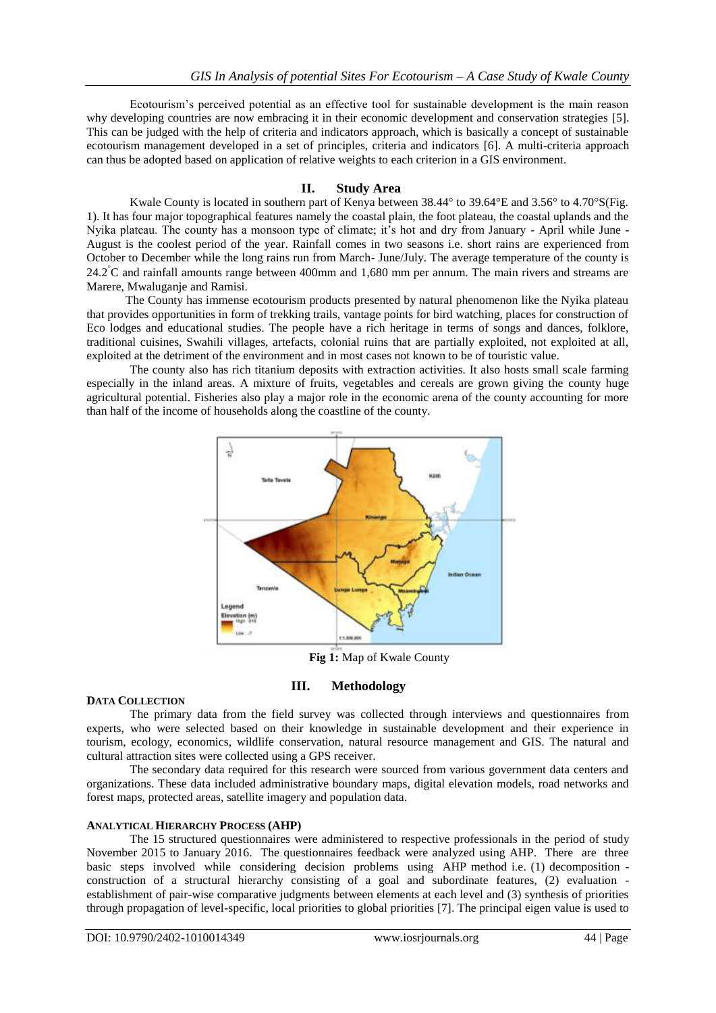Ecotourism's perceived potential as an effective tool for sustainable development is the main reason why developing countries are now embracing it in their economic development and conservation strategies [5]. This can be judged with the help of criteria and indicators approach, which is basically a concept of sustainable ecotourism management developed in a set of principles, criteria and indicators [6]. A multi-criteria approach can thus be adopted based on application of relative weights to each criterion in a GIS environment.

### **II. Study Area**

Kwale County is located in southern part of Kenya between 38.44° to 39.64°E and 3.56° to 4.70°S(Fig. 1). It has four major topographical features namely the coastal plain, the foot plateau, the coastal uplands and the Nyika plateau. The county has a monsoon type of climate; it's hot and dry from January - April while June - August is the coolest period of the year. Rainfall comes in two seasons i.e. short rains are experienced from October to December while the long rains run from March- June/July. The average temperature of the county is  $24.2^{\circ}$ C and rainfall amounts range between 400mm and 1,680 mm per annum. The main rivers and streams are Marere, Mwaluganje and Ramisi.

 The County has immense ecotourism products presented by natural phenomenon like the Nyika plateau that provides opportunities in form of trekking trails, vantage points for bird watching, places for construction of Eco lodges and educational studies. The people have a rich heritage in terms of songs and dances, folklore, traditional cuisines, Swahili villages, artefacts, colonial ruins that are partially exploited, not exploited at all, exploited at the detriment of the environment and in most cases not known to be of touristic value.

The county also has rich titanium deposits with extraction activities. It also hosts small scale farming especially in the inland areas. A mixture of fruits, vegetables and cereals are grown giving the county huge agricultural potential. Fisheries also play a major role in the economic arena of the county accounting for more than half of the income of households along the coastline of the county.



**Fig 1:** Map of Kwale County

### **III. Methodology**

#### **DATA COLLECTION**

The primary data from the field survey was collected through interviews and questionnaires from experts, who were selected based on their knowledge in sustainable development and their experience in tourism, ecology, economics, wildlife conservation, natural resource management and GIS. The natural and cultural attraction sites were collected using a GPS receiver.

The secondary data required for this research were sourced from various government data centers and organizations. These data included administrative boundary maps, digital elevation models, road networks and forest maps, protected areas, satellite imagery and population data.

### **ANALYTICAL HIERARCHY PROCESS (AHP)**

The 15 structured questionnaires were administered to respective professionals in the period of study November 2015 to January 2016. The questionnaires feedback were analyzed using AHP. There are three basic steps involved while considering decision problems using AHP method i.e. (1) decomposition construction of a structural hierarchy consisting of a goal and subordinate features, (2) evaluation establishment of pair-wise comparative judgments between elements at each level and (3) synthesis of priorities through propagation of level-specific, local priorities to global priorities [7]. The principal eigen value is used to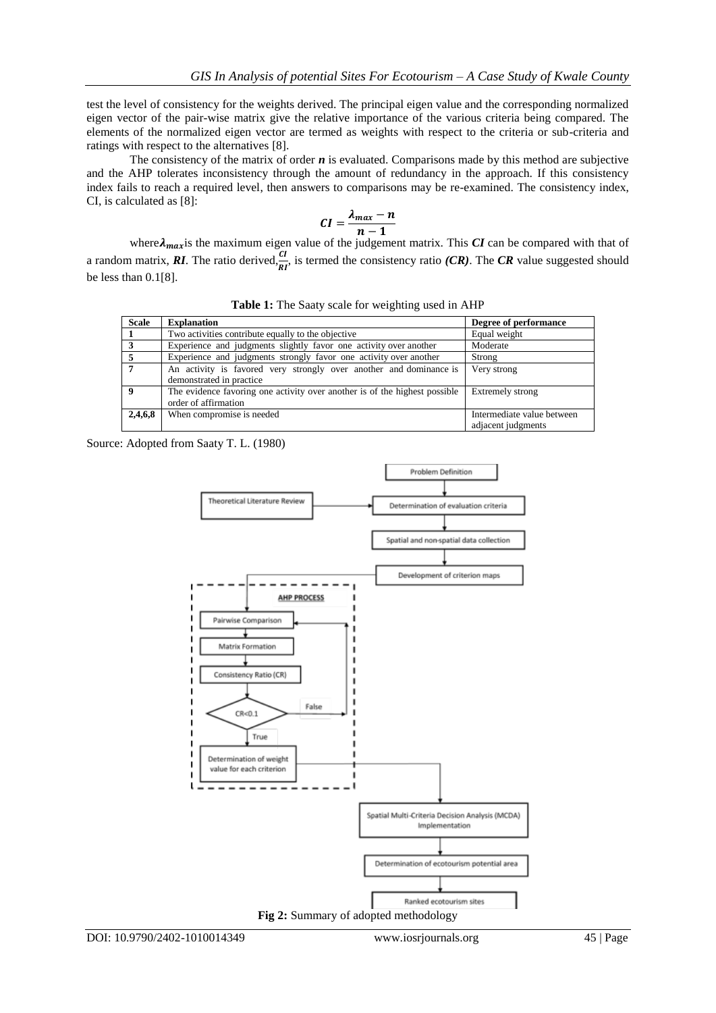test the level of consistency for the weights derived. The principal eigen value and the corresponding normalized eigen vector of the pair-wise matrix give the relative importance of the various criteria being compared. The elements of the normalized eigen vector are termed as weights with respect to the criteria or sub-criteria and ratings with respect to the alternatives [8].

The consistency of the matrix of order *n* is evaluated. Comparisons made by this method are subjective and the AHP tolerates inconsistency through the amount of redundancy in the approach. If this consistency index fails to reach a required level, then answers to comparisons may be re-examined. The consistency index, CI, is calculated as [8]:

$$
CI = \frac{\lambda_{max} - n}{n-1}
$$

where $\lambda_{max}$  is the maximum eigen value of the judgement matrix. This  $CI$  can be compared with that of a random matrix, **RI**. The ratio derived, $\frac{CI}{RI}$ , is termed the consistency ratio *(CR)*. The *CR* value suggested should be less than 0.1[8].

|  | Table 1: The Saaty scale for weighting used in AHP |  |  |  |  |
|--|----------------------------------------------------|--|--|--|--|
|--|----------------------------------------------------|--|--|--|--|

| <b>Scale</b>            | <b>Explanation</b>                                                         | Degree of performance      |
|-------------------------|----------------------------------------------------------------------------|----------------------------|
|                         | Two activities contribute equally to the objective                         | Equal weight               |
| -3                      | Experience and judgments slightly favor one activity over another          | Moderate                   |
|                         | Experience and judgments strongly favor one activity over another          | Strong                     |
| 7                       | An activity is favored very strongly over another and dominance is         | Very strong                |
|                         | demonstrated in practice                                                   |                            |
| $\overline{\mathbf{9}}$ | The evidence favoring one activity over another is of the highest possible | Extremely strong           |
|                         | order of affirmation                                                       |                            |
| 2,4,6,8                 | When compromise is needed                                                  | Intermediate value between |
|                         |                                                                            | adjacent judgments         |

Source: Adopted from Saaty T. L. (1980)

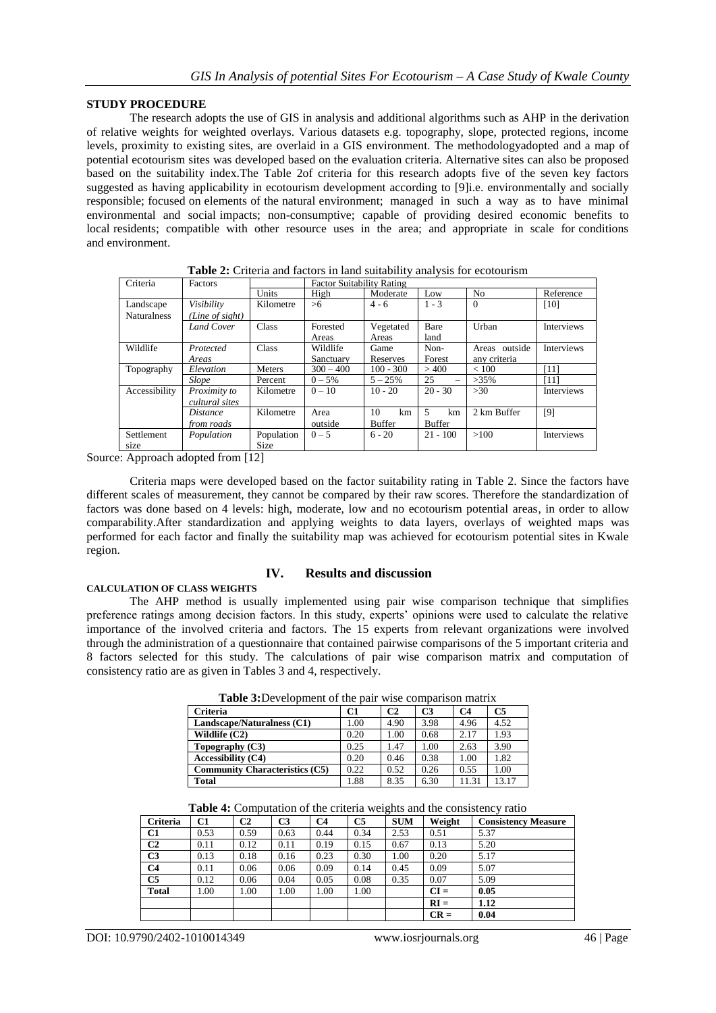### **STUDY PROCEDURE**

The research adopts the use of GIS in analysis and additional algorithms such as AHP in the derivation of relative weights for weighted overlays. Various datasets e.g. topography, slope, protected regions, income levels, proximity to existing sites, are overlaid in a GIS environment. The methodologyadopted and a map of potential ecotourism sites was developed based on the evaluation criteria. Alternative sites can also be proposed based on the suitability index.The Table 2of criteria for this research adopts five of the seven key factors suggested as having applicability in ecotourism development according to [9]i.e. environmentally and socially responsible; focused on elements of the natural environment; managed in such a way as to have minimal environmental and social impacts; non-consumptive; capable of providing desired economic benefits to local residents; compatible with other resource uses in the area; and appropriate in scale for conditions and environment.

| Criteria           | Factors           |               | <b>Factor Suitability Rating</b> |               |                                |                |                   |  |
|--------------------|-------------------|---------------|----------------------------------|---------------|--------------------------------|----------------|-------------------|--|
|                    |                   | Units         | High                             | Moderate      | Low                            | N <sub>0</sub> | Reference         |  |
| Landscape          | Visibility        | Kilometre     | >6                               | $4 - 6$       | $1 - 3$                        | $\theta$       | [10]              |  |
| <b>Naturalness</b> | (Line of sight)   |               |                                  |               |                                |                |                   |  |
|                    | Land Cover        | Class         | Forested                         | Vegetated     | Bare                           | Urban          | <b>Interviews</b> |  |
|                    |                   |               | Areas                            | Areas         | land                           |                |                   |  |
| Wildlife           | Protected         | Class         | Wildlife                         | Game          | Non-                           | Areas outside  | Interviews        |  |
|                    | Areas             |               | Sanctuary                        | Reserves      | Forest                         | any criteria   |                   |  |
| Topography         | Elevation         | <b>Meters</b> | $300 - 400$                      | $100 - 300$   | >400                           | ${}< 100$      | '111              |  |
|                    | Slope             | Percent       | $0 - 5%$                         | $5 - 25%$     | 25<br>$\overline{\phantom{0}}$ | $>35\%$        | '111              |  |
| Accessibility      | Proximity to      | Kilometre     | $0 - 10$                         | $10 - 20$     | $20 - 30$                      | >30            | <b>Interviews</b> |  |
|                    | cultural sites    |               |                                  |               |                                |                |                   |  |
|                    | <i>Distance</i>   | Kilometre     | Area                             | 10<br>km      | 5<br>km                        | 2 km Buffer    | [9]               |  |
|                    | <i>from roads</i> |               | outside                          | <b>Buffer</b> | <b>Buffer</b>                  |                |                   |  |
| Settlement         | Population        | Population    | $0 - 5$                          | $6 - 20$      | $21 - 100$                     | >100           | Interviews        |  |
| size               |                   | Size          |                                  |               |                                |                |                   |  |

**Table 2:** Criteria and factors in land suitability analysis for ecotourism

Source: Approach adopted from [12]

Criteria maps were developed based on the factor suitability rating in Table 2. Since the factors have different scales of measurement, they cannot be compared by their raw scores. Therefore the standardization of factors was done based on 4 levels: high, moderate, low and no ecotourism potential areas, in order to allow comparability.After standardization and applying weights to data layers, overlays of weighted maps was performed for each factor and finally the suitability map was achieved for ecotourism potential sites in Kwale region.

# **CALCULATION OF CLASS WEIGHTS**

### **IV. Results and discussion**

The AHP method is usually implemented using pair wise comparison technique that simplifies preference ratings among decision factors. In this study, experts' opinions were used to calculate the relative importance of the involved criteria and factors. The 15 experts from relevant organizations were involved through the administration of a questionnaire that contained pairwise comparisons of the 5 important criteria and 8 factors selected for this study. The calculations of pair wise comparison matrix and computation of consistency ratio are as given in Tables 3 and 4, respectively.

| Tuble experiment of the ban-whee companion matrix |      |                |                |       |       |
|---------------------------------------------------|------|----------------|----------------|-------|-------|
| <b>Criteria</b>                                   | C1   | C <sub>2</sub> | C <sub>3</sub> | C4    | C5    |
| Landscape/Naturalness (C1)                        | 1.00 | 4.90           | 3.98           | 4.96  | 4.52  |
| Wildlife $(C2)$                                   | 0.20 | 1.00           | 0.68           | 2.17  | 1.93  |
| Topography $(C3)$                                 | 0.25 | 1.47           | 1.00           | 2.63  | 3.90  |
| <b>Accessibility (C4)</b>                         | 0.20 | 0.46           | 0.38           | 1.00  | 1.82  |
| <b>Community Characteristics (C5)</b>             | 0.22 | 0.52           | 0.26           | 0.55  | 1.00  |
| <b>Total</b>                                      | 1.88 | 8.35           | 6.30           | 11.31 | 13.17 |

**Table 3:**Development of the pair wise comparison matrix

| Table 4: Computation of the criteria weights and the consistency ratio |  |  |  |  |  |  |  |  |
|------------------------------------------------------------------------|--|--|--|--|--|--|--|--|
|                                                                        |  |  |  |  |  |  |  |  |

|                 |      |      |      |                |      | $\tilde{}$ |        |                            |
|-----------------|------|------|------|----------------|------|------------|--------|----------------------------|
| <b>Criteria</b> | C1   | C2   | C3   | C <sub>4</sub> | C5   | <b>SUM</b> | Weight | <b>Consistency Measure</b> |
| C1              | 0.53 | 0.59 | 0.63 | 0.44           | 0.34 | 2.53       | 0.51   | 5.37                       |
| C <sub>2</sub>  | 0.11 | 0.12 | 0.11 | 0.19           | 0.15 | 0.67       | 0.13   | 5.20                       |
| C <sub>3</sub>  | 0.13 | 0.18 | 0.16 | 0.23           | 0.30 | 1.00       | 0.20   | 5.17                       |
| C <sub>4</sub>  | 0.11 | 0.06 | 0.06 | 0.09           | 0.14 | 0.45       | 0.09   | 5.07                       |
| C <sub>5</sub>  | 0.12 | 0.06 | 0.04 | 0.05           | 0.08 | 0.35       | 0.07   | 5.09                       |
| <b>Total</b>    | 1.00 | 1.00 | 1.00 | 1.00           | 1.00 |            | $CI =$ | 0.05                       |
|                 |      |      |      |                |      |            | $RI =$ | 1.12                       |
|                 |      |      |      |                |      |            | $CR =$ | 0.04                       |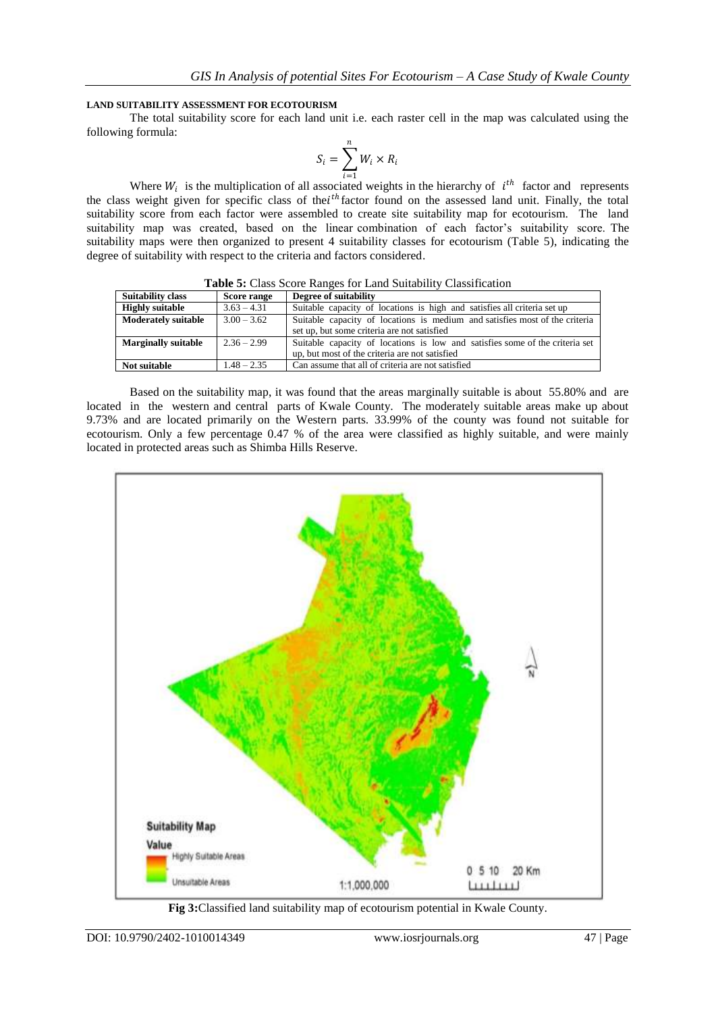### **LAND SUITABILITY ASSESSMENT FOR ECOTOURISM**

The total suitability score for each land unit i.e. each raster cell in the map was calculated using the following formula:

$$
S_i = \sum_{i=1}^n W_i \times R_i
$$

Where  $W_i$  is the multiplication of all associated weights in the hierarchy of  $i^{th}$  factor and represents the class weight given for specific class of the  $i<sup>th</sup>$  factor found on the assessed land unit. Finally, the total suitability score from each factor were assembled to create site suitability map for ecotourism. The land suitability map was created, based on the linear combination of each factor's suitability score. The suitability maps were then organized to present 4 suitability classes for ecotourism (Table 5), indicating the degree of suitability with respect to the criteria and factors considered.

| <b>Table 5:</b> Class BCOIC Ranges for Eand Buitability Classification |               |                                                                              |  |  |  |  |
|------------------------------------------------------------------------|---------------|------------------------------------------------------------------------------|--|--|--|--|
| <b>Suitability class</b>                                               | Score range   | Degree of suitability                                                        |  |  |  |  |
| <b>Highly suitable</b>                                                 | $3.63 - 4.31$ | Suitable capacity of locations is high and satisfies all criteria set up     |  |  |  |  |
| <b>Moderately suitable</b>                                             | $3.00 - 3.62$ | Suitable capacity of locations is medium and satisfies most of the criteria  |  |  |  |  |
|                                                                        |               | set up, but some criteria are not satisfied                                  |  |  |  |  |
| <b>Marginally suitable</b>                                             | $2.36 - 2.99$ | Suitable capacity of locations is low and satisfies some of the criteria set |  |  |  |  |
|                                                                        |               | up, but most of the criteria are not satisfied                               |  |  |  |  |
| Not suitable                                                           | $1.48 - 2.35$ | Can assume that all of criteria are not satisfied                            |  |  |  |  |

**Table 5:** Class Score Ranges for Land Suitability Classification

Based on the suitability map, it was found that the areas marginally suitable is about 55.80% and are located in the western and central parts of Kwale County. The moderately suitable areas make up about 9.73% and are located primarily on the Western parts. 33.99% of the county was found not suitable for ecotourism. Only a few percentage 0.47 % of the area were classified as highly suitable, and were mainly located in protected areas such as Shimba Hills Reserve.



**Fig 3:**Classified land suitability map of ecotourism potential in Kwale County.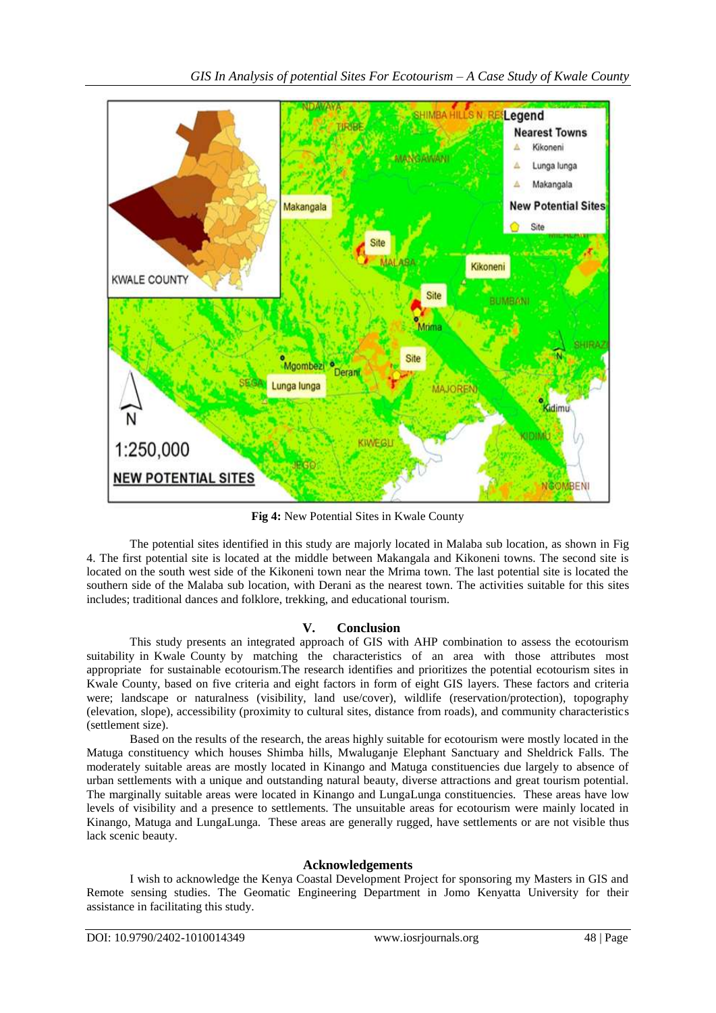

**Fig 4:** New Potential Sites in Kwale County

The potential sites identified in this study are majorly located in Malaba sub location, as shown in Fig 4. The first potential site is located at the middle between Makangala and Kikoneni towns. The second site is located on the south west side of the Kikoneni town near the Mrima town. The last potential site is located the southern side of the Malaba sub location, with Derani as the nearest town. The activities suitable for this sites includes; traditional dances and folklore, trekking, and educational tourism.

## **V. Conclusion**

This study presents an integrated approach of GIS with AHP combination to assess the ecotourism suitability in Kwale County by matching the characteristics of an area with those attributes most appropriate for sustainable ecotourism.The research identifies and prioritizes the potential ecotourism sites in Kwale County, based on five criteria and eight factors in form of eight GIS layers. These factors and criteria were; landscape or naturalness (visibility, land use/cover), wildlife (reservation/protection), topography (elevation, slope), accessibility (proximity to cultural sites, distance from roads), and community characteristics (settlement size).

Based on the results of the research, the areas highly suitable for ecotourism were mostly located in the Matuga constituency which houses Shimba hills, Mwaluganje Elephant Sanctuary and Sheldrick Falls. The moderately suitable areas are mostly located in Kinango and Matuga constituencies due largely to absence of urban settlements with a unique and outstanding natural beauty, diverse attractions and great tourism potential. The marginally suitable areas were located in Kinango and LungaLunga constituencies. These areas have low levels of visibility and a presence to settlements. The unsuitable areas for ecotourism were mainly located in Kinango, Matuga and LungaLunga. These areas are generally rugged, have settlements or are not visible thus lack scenic beauty.

## **Acknowledgements**

I wish to acknowledge the Kenya Coastal Development Project for sponsoring my Masters in GIS and Remote sensing studies. The Geomatic Engineering Department in Jomo Kenyatta University for their assistance in facilitating this study.